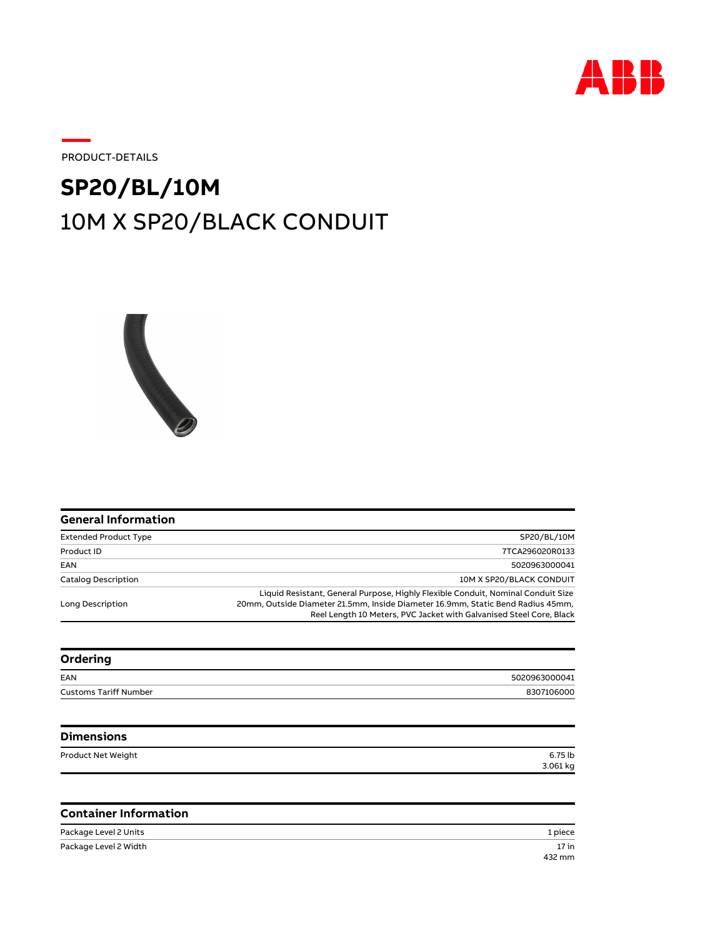

17 in

PRODUCT-DETAILS

## 10M X SP20/BLACK CONDUIT **SP20/BL/10M**



| <b>General Information</b>   |                                                                                                                                                                                                                                            |
|------------------------------|--------------------------------------------------------------------------------------------------------------------------------------------------------------------------------------------------------------------------------------------|
| <b>Extended Product Type</b> | SP20/BL/10M                                                                                                                                                                                                                                |
| Product ID                   | 7TCA296020R0133                                                                                                                                                                                                                            |
| EAN                          | 5020963000041                                                                                                                                                                                                                              |
| <b>Catalog Description</b>   | 10M X SP20/BLACK CONDUIT                                                                                                                                                                                                                   |
| Long Description             | Liquid Resistant, General Purpose, Highly Flexible Conduit, Nominal Conduit Size<br>20mm, Outside Diameter 21.5mm, Inside Diameter 16.9mm, Static Bend Radius 45mm,<br>Reel Length 10 Meters, PVC Jacket with Galvanised Steel Core, Black |
| Ordering                     |                                                                                                                                                                                                                                            |
|                              |                                                                                                                                                                                                                                            |

| _                            |               |
|------------------------------|---------------|
| EAN                          | 5020963000041 |
| <b>Customs Tariff Number</b> | 8307106000    |
|                              |               |

| <b>Dimensions</b>  |          |
|--------------------|----------|
| Product Net Weight | 6.75 lb  |
|                    | 3.061 kg |

## **Container Information**

Package Level 2 Units 1 piece 432 mm Package Level 2 Width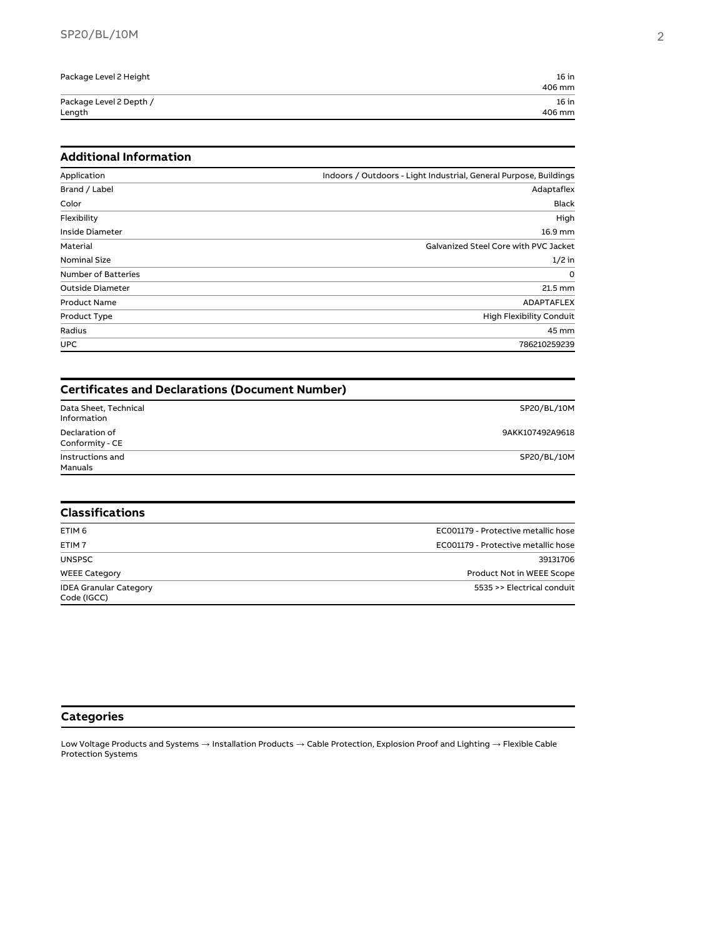| Package Level 2 Height  | $16$ in |
|-------------------------|---------|
|                         | 406 mm  |
| Package Level 2 Depth / | $16$ in |
| Length                  | 406 mm  |

## **Additional Information**

| Application                | Indoors / Outdoors - Light Industrial, General Purpose, Buildings |
|----------------------------|-------------------------------------------------------------------|
| Brand / Label              | Adaptaflex                                                        |
| Color                      | <b>Black</b>                                                      |
| Flexibility                | High                                                              |
| Inside Diameter            | 16.9 mm                                                           |
| Material                   | Galvanized Steel Core with PVC Jacket                             |
| <b>Nominal Size</b>        | $1/2$ in                                                          |
| <b>Number of Batteries</b> | $\Omega$                                                          |
| <b>Outside Diameter</b>    | 21.5 mm                                                           |
| <b>Product Name</b>        | <b>ADAPTAFLEX</b>                                                 |
| Product Type               | <b>High Flexibility Conduit</b>                                   |
| Radius                     | 45 mm                                                             |
| <b>UPC</b>                 | 786210259239                                                      |

| <b>Certificates and Declarations (Document Number)</b> |                                     |  |
|--------------------------------------------------------|-------------------------------------|--|
| Data Sheet, Technical<br>Information                   | SP20/BL/10M                         |  |
| Declaration of<br>Conformity - CE                      | 9AKK107492A9618                     |  |
| Instructions and<br>Manuals                            | SP20/BL/10M                         |  |
| <b>Classifications</b>                                 |                                     |  |
| ETIM <sub>6</sub>                                      | EC001179 - Protective metallic hose |  |
| ETIM <sub>7</sub>                                      | EC001179 - Protective metallic hose |  |
| <b>UNSPSC</b>                                          | 39131706                            |  |

WEEE Category Product Not in WEEE Scope IDEA Granular Category 5535 >> Electrical conduit Code (IGCC)

## **Categories**

Low Voltage Products and Systems  $\to$  Installation Products  $\to$  Cable Protection, Explosion Proof and Lighting  $\to$  Flexible Cable Protection Systems